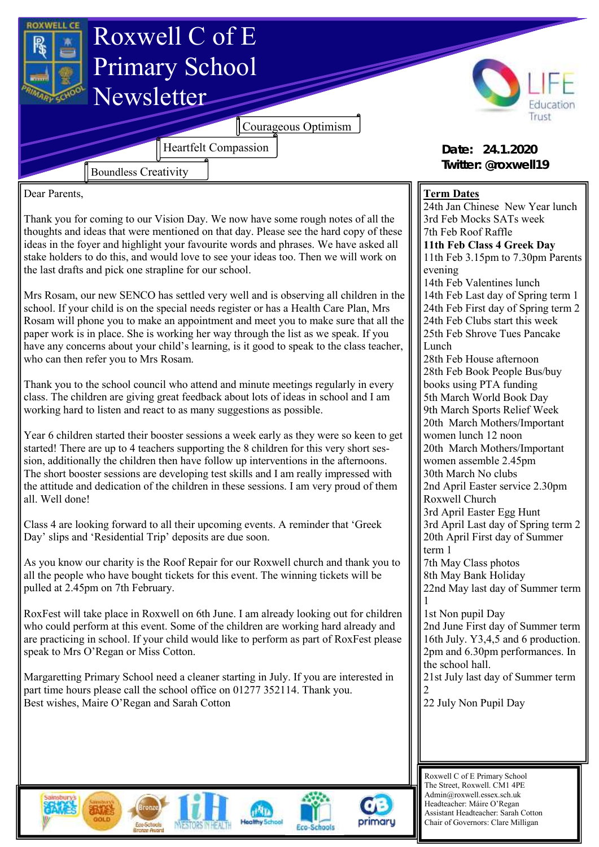

Headteacher: Máire O'Regan Assistant Headteacher: Sarah Cotton Chair of Governors: Clare Milligan